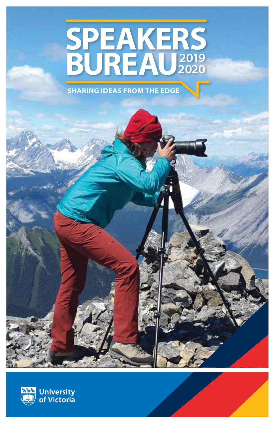# **SPEAKERS BUREAU**<sup>2019</sup> **2020**

**SHARING IDEAS FROM THE EDGE**

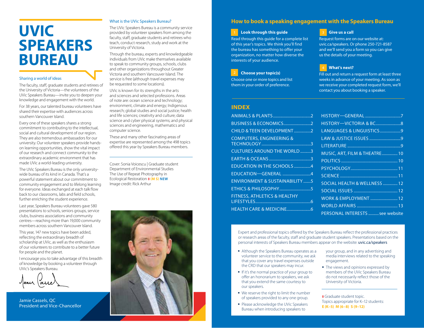# **UVIC SPEAKERS BUREAU**

#### Sharing a world of ideas

The faculty, staff, graduate students and retirees of the University of Victoria—the volunteers of the UVic Speakers Bureau—invite you to deepen your knowledge and engagement with the world.

For 38 years, our talented bureau volunteers have shared their expertise with audiences across southern Vancouver Island.

Every one of these speakers shares a strong commitment to contributing to the intellectual, social and cultural development of our region. They are also tremendous ambassadors for our university. Our volunteer speakers provide handson learning opportunities, show the vital impact of our research and connect community to the extraordinary academic environment that has made UVic a world-leading university.

The UVic Speakers Bureau is the only universitywide bureau of its kind in Canada. That's a powerful statement about our commitment to community engagement and to lifelong learning for everyone. Ideas exchanged at each talk flow back to our classrooms, labs and field schools, further enriching the student experience.

Last year, Speakers Bureau volunteers gave 580 presentations to schools, seniors groups, service clubs, business associations and community centres—reaching more than 19,000 community members across southern Vancouver Island.

This year, 147 new topics have been added, reflecting the extraordinary breadth of scholarship at UVic, as well as the enthusiasm of our volunteers to contribute to a better future for people and the planet.

I encourage you to take advantage of this breadth of knowledge by booking a volunteer through UVic's Speakers Bureau.

Jamie Cassels, QC President and Vice-Chancellor

#### What is the UVic Speakers Bureau?

The UVic Speakers Bureau is a community service provided by volunteer speakers from among the faculty, staff, graduate students and retirees who teach, conduct research, study and work at the University of Victoria.

Through the bureau, experts and knowledgeable individuals from UVic make themselves available to speak to community groups, schools, clubs and other organizations throughout Greater Victoria and southern Vancouver Island. The service is free (although travel expenses may be requested to some locations).

UVic is known for its strengths in the arts and sciences and selected professions. Areas of note are: ocean science and technology; environment, climate and energy; Indigenous research; global studies and social justice; health and life sciences; creativity and culture; data science and cyber physical systems; and physical sciences and engineering, mathematics and computer science.

These and many other fascinating areas of expertise are represented among the 498 topics offered this year by Speakers Bureau members.

Cover: Sonia Voicescu | Graduate student Department of Environmental Studies The Use of Repeat Photography in Ecological Restoration **‡ (M S) NEW** Image credit: Rick Arthur



# **How to book a speaking engagement with the Speakers Bureau**

#### **Look through this guide 1 3**

Read through this guide for a complete list of this year's topics. We think you'll find the bureau has something to offer your organization, no matter how diverse the interests of your audience.

#### **Choose your topic(s)**

Choose one or more topics and list them in your order of preference.

#### **INDEX**

| <b>CHILD &amp; TEEN DEVELOPMENT2</b>      |
|-------------------------------------------|
| <b>COMPUTERS, ENGINEERING &amp;</b>       |
| <b>CULTURES AROUND THE WORLD 3</b>        |
|                                           |
| <b>EDUCATION IN THE SCHOOLS 4</b>         |
| EDUCATION-GENERAL 4                       |
| <b>ENVIRONMENT &amp; SUSTAINABILITY 5</b> |
| <b>ETHICS &amp; PHILOSOPHY5</b>           |
| <b>FITNESS, ATHLETICS &amp; HEALTHY</b>   |
|                                           |
|                                           |

#### **Give us a call**

Request forms are on our website at: [uvic.ca/speakers.](http://) Or phone 250-721-8587 and we'll send you a form so you can give us the details of your meeting.

#### **What's next? 4**

Fill out and return a request form at least three weeks in advance of your meeting. As soon as we receive your completed request form, we'll contact you about booking a speaker.

| LANGUAGES & LINGUISTICS9        |
|---------------------------------|
|                                 |
|                                 |
| MUSIC, ART, FILM & THEATRE 10   |
|                                 |
|                                 |
|                                 |
| SOCIAL HEALTH & WELLNESS  12    |
|                                 |
|                                 |
|                                 |
| PERSONAL INTERESTS  see website |

Expert and professional topics offered by the Speakers Bureau reflect the professional practices or research areas of the faculty, staff and graduate student speakers. Presentations based on the personal interests of Speakers Bureau members appear on the website: uvic.ca/speakers

- Although the Speakers Bureau operates as a volunteer service to the community, we ask that you cover any travel expenses outside the CRD that our speakers may incur.
- If it's the normal practice of your group to offer an honorarium to speakers, we ask that you extend the same courtesy to our speakers.
- We reserve the right to limit the number of speakers provided to any one group.
- Please acknowledge the UVic Speakers Bureau when introducing speakers to

your group, and in any advertising and media interviews related to the speaking engagement.

 $\blacksquare$  The views and opinions expressed by members of the UVic Speakers Bureau do not necessarily reflect those of the University of Victoria.

**‡** Graduate student topic. Topics appropriate for K–12 students: **E (K–5) M (6–8) S (9–12)**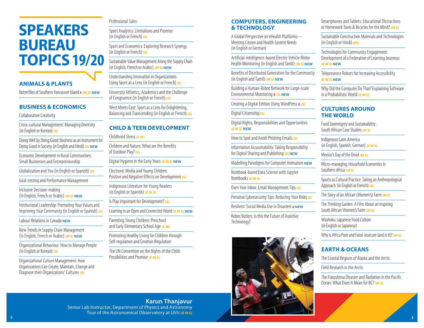# **SPEAKERS BUREAU TOPICS 19/20**

# **ANIMALS & PLANTS**

Butterflies of Southern Vancouver Island **‡ (M S) NEW**

#### **BUSINESS & ECONOMICS**

Collaborative Creativity

Cross-cultural Management: Managing Diversity (in English or Korean) **(S)**

Doing Well by Doing Good: Business as an Instrument for Doing Good in Society (in English and Hindi) **(S) NEW**

Economic Development in Rural Communities: Small Businesses and Entrepreneurship

Globalization and You (in English or Spanish) **(S)**

Goal-setting and Performance Management

Inclusive Decision-making (in English, French or Arabic) **(M S) NEW**

Institutional Leadership: Promoting Your Values and Improving Your Community (in English or Spanish) **(S)**

Labour Relations in Canada **NEW**

New Trends in Supply Chain Management (in English, French or Arabic) **(M S) NEW**

Organizational Behaviour: How to Manage People (in English or Korean) **(S)**

Organizational Culture Management: How Organizations Can Create, Maintain, Change and Diagnose their Organizations' Cultures **(S)**

#### Professional Sales

Sport Analytics: Limitations and Promise (in English or French) **(S)**

Sport and Economics: Exploring Research Synergy (in English or French) **(S)**

Sustainable Value Management Along the Supply Chain (in English, French or Arabic) **(M S) NEW**

Understanding Innovation in Organizations: Using Sport as a Lens (in English or French) **(S)**

University Athletics, Academics and the Challenge of Congruence (in English or French) **(S)**

West Meets East: Sport as a Lens for Enlightening, Balancing and Transcending (in English or French) **(S)**

# **CHILD & TEEN DEVELOPMENT**

Childhood Stress **(E M)**

Children and Nature: What are the Benefits of Outdoor Play? **(S)**

Digital Hygiene in the Early Years **(E M S) NEW**

Electronic Media and Young Children: Positive and Negative Effects on Development **(S)**

Indigenous Literature for Young Readers (in English or Spanish) **(E M S)**

Is Play Important for Development? **(S)**

Learning in an Open and Connected World **(E M S) NEW**

Parenting Young Children: Preschool and Early Elementary School Age **(E M)**

Promoting Healthy Living for Children through Self-regulation and Emotion Regulation

The UN Convention on the Rights of the Child: Possibilities and Promise **(E M S)**

#### **COMPUTERS, ENGINEERING & TECHNOLOGY**

A Global Perspective on eHealth Platforms— Meeting Citizen and Health System Needs (in English or German)

Artificial-intelligence-based Electric Vehicle Motor Health Monitoring (in English and Tamil) **(M S) NEW**

Benefits of Distributed Generation for the Community (in English and Tamil) **(M S) NEW**

Building a Human-Robot Network for Large-scale Environmental Monitoring **‡ (S) NEW**

Creating a Digital Edition Using WordPress **‡ (S)**

Digital Citizenship **(S)**

Digital Rights, Responsibilities and Opportunities **(E M S) NEW**

How to Spot and Avoid Phishing Emails **(S)**

Information Accountability: Taking Responsibility for Digital Sharing and Publishing **(S) NEW**

Modelling Paradigms for Computer Animation **NEW**

Notebook-based Data Science with Jupyter Notebooks **(E M S)**

Own Your Inbox: Email Management Tips **(S)**

Personal Cybersecurity Tips: Reducing Your Risks **(S)**

Resilient: Social Media Use in Disasters **‡ NEW**

Robot Butlers: is this the Future of Assistive Technology?



Smartphones and Tablets: Educational Distractions or Homework Tools & Bicycles for the Mind? **(M S)**

Sustainable Construction Materials and Technologies (in English or Hindi) **(M)**

Technologies for Community Engagement: Development of a Federation of Learning Journeys **(E M S) NEW**

Telepresence Robots for Increasing Accessibility **(E M S) NEW**

Why Did the Computer Do That? Explaining Software in a Probabilistic World **(E M S)**

### **CULTURES AROUND THE WORLD**

Food Sovereignty and Sustainability: South African Case Studies **(M S)**

Indigenous Latin America (in English, Spanish, German) **(E M S)**

Mexico's Day of the Dead **(M S)**

Micro-managing: Household Economies in Southern Africa *(M S)* 

Sports as Cultural Practice: Taking an Anthropological Approach (in English or French) **(S)**

The Story of an African (Women's) Farm **(M S)**

The Thinking Garden: A Film About an Inspiring South African Women's Farm **(M S)**

Washoku: Japanese Food Culture (in English or Japanese)

Why is Africa Poor and Food-insecure (and is it)? **(M S)**

# **EARTH & OCEANS**

The Coastal Regions of Alaska and the Arctic

Field Research in the Arctic

The Fukushima Disaster and Radiation in the Pacific Ocean: What Does It Mean for BC? **(M S)** 

**Karun Thanjavur** Senior Lab Instructor, Department of Physics and Astronomy Tour of the Astronomical Observatory at UVic **(E M S)**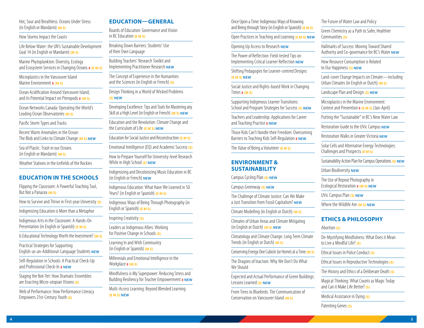#### Hot, Sour and Breathless: Oceans Under Stress (in English or Mandarin) **(M S)**

How Storms Impact the Coasts

Life Below Water: the UN's Sustainable Development Goal 14 (in English or Mandarin) **(M S)**

Marine Phytoplankton: Diversity, Ecology and Ecosystem Services in Changing Oceans **‡ (E M S)**

Microplastics in the Vancouver Island Marine Environment **‡ (M S)**

Ocean Acidification Around Vancouver Island, and its Potential Impact on Pteropods **‡ (M S)**

Ocean Networks Canada: Operating the World's Leading Ocean Observatories **(M S)**

Pacific Storm Types and Tracks

Recent Warm Anomalies in the Ocean: The Blob and Links to Climate Change **(M S) NEW**

Sea of Plastic: Trash in our Oceans (in English or Mandarin) **(M S)**

Weather Stations in the Icefields of the Rockies

# **EDUCATION IN THE SCHOOLS**

Flipping the Classroom: A Powerful Teaching Tool, But Not a Panacea **(M S)**

How to Survive and Thrive in First-year University **(S)**

Indigenizing Education is More than a Metaphor

Indigenous Arts in the Classroom: A Hands-On Presentation (in English or Spanish) **(E M S)**

Is Educational Technology Worth the Investment? **(M S)**

Practical Strategies for Supporting English-as-an-Additional-Language Students **NEW**

Self-Regulation in Schools: A Practical Check-Up and Professional Check-In **‡ NEW**

Staging the Not-Yet: How Dramatic Ensembles are Enacting Micro-utopian Visions **(S)**

Web of Performance: How Performance Literacy Empowers 21st-Century Youth **(S)**

#### **EDUCATION—GENERAL**

Boards of Education: Governance and Vision in BC Education **(E M S)**

Breaking Down Barriers: Students' Use of their Own Language

Building Teachers' Research Toolkit and Implementing Practitioner Research **NEW**

The Concept of Experience in the Humanities and the Sciences (in English or French) **(S)**

Design Thinking in a World of Wicked Problems **(S) NEW**

Developing Excellence: Tips and Tools for Mastering any Skill at a High Level (in English or French) **(M S) NEW**

Education and the Revolution: Climate Change and the Curriculum of Life **(E M S) NEW**

Education for Social Justice and Reconstruction **(E M S)**

Emotional Intelligence (EQ) and Academic Success **(S)**

How to Prepare Yourself for University-level Research While in High School **(S) NEW**

Indigenizing and Decolonizing Music Education in BC (in English or French) **NEW**

Indigenous Education: What Have We Learned in 50 Years? (in English or Spanish) **(E M S)** 

Indigenous Ways of Being Through Photography (in English or Spanish) **(E M S)**

Inspiring Creativity **(S)**

Leaders as Indigenous Allies: Working for Positive Change in Schools **(S)**

Learning In and With Community (in English or Spanish) **(M S)**

Millennials and Emotional Intelligence in the Workplace **‡ (M S)**

Mindfulness is My Superpower: Reducing Stress and Building Resiliency for Teacher Empowerment **‡ NEW**

Multi-Access Learning: Beyond Blended Learning **(E M S) NEW**

Once Upon a Time: Indigenous Ways of Knowing and Being through Story (in English or Spanish) **(E M S)**

Open Practices in Teaching and Learning **(E M S) NEW**

#### Opening Up Access to Research **NEW**

The Power of Reflection: Field-tested Tips on Implementing Critical Learner Reflection **NEW**

Shifting Pedagogies for Learner-centred Designs **(E M S) NEW**

Social Justice and Rights-based Work in Changing  $Times + (M S)$ 

Supporting Indigenous Learner Transitions: School and Program Strategies for Success **(S) NEW**

Teachers and Leadership: Applications for Career and Teaching Practice **‡ NEW**

Those Kids Can't Handle their Freedom: Overcoming Barriers to Teaching Kids Self-Regulation **‡ NEW**

The Value of Being a Volunteer **(E M S)**

#### **ENVIRONMENT & SUSTAINABILITY**

Campus Cycling Plan **(S) NEW**

Campus Greenway **(S) NEW**

The Challenge of Climate Justice: Can We Make a Just Transition from Fossil Capitalism? **NEW**

Climate Modelling (in English or Dutch) **(M S)**

Climates of Urban Areas and Climate Mitigating (in English or Dutch) **(M S) NEW**

Climatology and Climate Change: Long Term Climate Trends (in English or Dutch) **(M S)**

Conserving Energy One Cubicle (or Home) at a Time **(M S)**

The Dragons of Inaction: Why We Don't Do What We Should

Expected and Actual Performance of Green Buildings: Lessons Learned **(S) NEW**

From Trees to Bluebirds: The Communication of Conservation on Vancouver Island **(M S)**

#### The Future of Water Law and Policy

Green Chemistry as a Path to Safer, Healthier Communities **(S)**

Hallmarks of Success: Moving Toward Shared Authority and Co-governance for BC's Water **NEW**

How Resource Consumption is Related to Our Happiness **(S) NEW**

Land-cover Change Impacts on Climate—including Urban Climates (in English or Dutch) **(M S)**

Landscape Plan and Design **(S) NEW**

Microplastics in the Marine Environment: Context and Prevention **‡ (E M S)** (Jan-April)

Putting the "Sustainable" in BC's New Water Law

Restoration Guide to the UVic Campus **NEW**

Restoration Walks in Greater Victoria **NEW**

Solar Cells and Alternative Energy Technologies: Challenges and Prospects **(E M S)**

Sustainability Action Plan for Campus Operations **(S) NEW**

Urban Biodiversity **NEW**

The Use of Repeat Photography in Ecological Restoration **‡ (M S) NEW**

UVic Campus Plan **(S) NEW**

Where the Wildlife Are **(M S) NEW**

#### **ETHICS & PHILOSOPHY**

Abortion **(S)**

De-Mystifying Mindfulness: What Does it Mean to Live a Mindful Life? **(S)**

Ethical Issues in Police Conduct **(S)**

Ethical Issues in Reproductive Technologies **(S)**

The History and Ethics of a Deliberate Death **(S)**

Magical Thinking: What Counts as Magic Today and Can it Make Life Better? **(S)**

Medical Assistance in Dying **(S)**

Patenting Genes **(S)**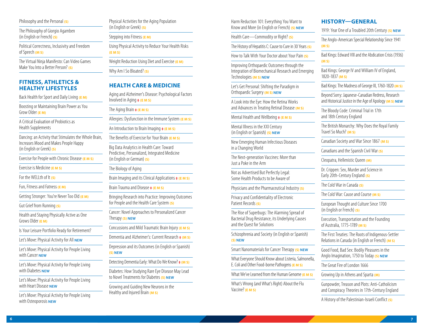#### Philosophy and the Personal **(S)**

The Philosophy of Giorgio Agamben (in English or French) **(S)**

Political Correctness, Inclusivity and Freedom of Speech **(M S)**

The Virtual Ninja Manifesto: Can Video Games Make You Into a Better Person? **(S)**

#### **FITNESS, ATHLETICS & HEALTHY LIFESTYLES**

Back Health for Sport and Daily Living **(E M)**

Boosting or Maintaining Brain Power as You Grow Older **(E M)**

A Critical Evaluation of Probiotics as Health Supplements

Dancing: an Activity that Stimulates the Whole Brain, Increases Mood and Makes People Happy (in English or Greek) **(S)**

Exercise for People with Chronic Disease **(E M S)**

Exercise is Medicine **(E M S)**

For the WELLth of It **(S)**

Fun, Fitness and Fatness **(E M)**

Getting Stronger: You're Never Too Old **(E M)**

Gut Grief from Running **(S)**

Health and Staying Physically Active as One Grows Older **(E M)**

Is Your Leisure Portfolio Ready for Retirement?

Let's Move: Physical Activity for All **NEW** 

Let's Move: Physical Activity for People Living with Cancer **NEW**

Let's Move: Physical Activity for People Living with Diabetes **NEW**

Let's Move: Physical Activity for People Living with Heart Disease **NEW**

Let's Move: Physical Activity for People Living with Osteoporosis **NEW**

Physical Activities for the Aging Population (in English or Greek) **(S)** Stepping into Fitness **(E M)** Using Physical Activity to Reduce Your Health Risks

**(E M S)**

Weight Reduction Using Diet and Exercise **(E M)**

Why Am I So Bloated? **(S)**

# **HEALTH CARE & MEDICINE**

Aging and Alzheimer's Disease: Psychological Factors Involved in Aging **‡ (E M S)**

The Aging Brain **‡ (E M S)**

Allergies: Dysfunction in the Immune System **(E M S)**

An Introduction to Brain Imaging **‡ (E M S)**

The Benefits of Exercise for Your Brain **(E M S)**

Big Data Analytics in Health Care: Toward Predictive, Personalized, Integrated Medicine (in English or German) **(S)**

The Biology of Aging

Brain Imaging and its Clinical Applications **‡ (E M S)**

Brain Trauma and Disease **‡ (E M S)**

Bringing Research into Practice: Improving Outcomes for People and the Health Care System **(S)**

Cancer: Novel Approaches to Personalized Cancer Therapy **(S) NEW**

Concussions and Mild Traumatic Brain Injury **(E M S)**

Dementia and Alzheimer's: Current Research **‡ (M S)**

Depression and its Outcomes (in English or Spanish) **(S) NEW**

Detecting Dementia Early: What Do We Know? **‡ (M S)**

Diabetes: How Studying Rare Eye Disease May Lead to Novel Treatments for Diabetes **(S) NEW**

Growing and Guiding New Neurons in the Healthy and Injured Brain (M S)

Harm Reduction 101: Everything You Want to Know and More (in English or French) **(S) NEW**

Health Care—Commodity or Right? **(S)**

The History of Hepatitis C: Cause to Cure in 30 Years **(S)**

How to Talk With Your Doctor about Your Pain **(S)**

Improving Orthopaedic Outcomes through the Integration of Biomechanical Research and Emerging Technologies **(M S) NEW**

Let's Get Personal: Shifting the Paradigm in Orthopaedic Surgery **(M S) NEW**

A Look into the Eye: How the Retina Works and Advances in Treating Retinal Disease **(M S)**

Mental Health and Wellbeing **‡ (E M S)**

Mental Illness in the XXI Century (in English or Spanish) **(S) NEW**

New Emerging Human Infectious Diseases in a Changing World

The Next-generation Vaccines: More than Just a Poke in the Arm

Not as Advertised But Perfectly Legal: Some Health Products to be Aware of

Physicians and the Pharmaceutical Industry **(S)**

Privacy and Confidentiality of Electronic Patient Records **(S)**

The Rise of Superbugs: The Alarming Spread of Bacterial Drug Resistance, its Underlying Causes and the Quest for Solutions

Schizophrenia and Society (in English or Spanish) **(S) NEW**

Smart Nanomaterials for Cancer Therapy **(S) NEW**

What Everyone Should Know about Listeria, Salmonella, E. Coli and Other Food-borne Pathogens **(E M S)**

What We've Learned from the Human Genome **(E M S)**

What's Wrong (and What's Right) About the Flu Vaccine? **(E M S)**

#### **HISTORY—GENERAL**

1919: Year One of a Troubled 20th Century **(S) NEW**

The Anglo-American Special Relationship Since 1941 **(M S)**

Bad Kings: Edward VIII and the Abdication Crisis (1936) **(M S)**

Bad Kings: George IV and William IV of England, 1820-1837 **(M S)**

Bad Kings: The Madness of George III, 1760-1820 **(M S)**

Beyond Sorry: Japanese-Canadian Redress, Research and Historical Justice in the Age of Apology **(M S) NEW**

The Bloody Code: Criminal Trial in 17th and 18th Century England

The British Monarchy: Why Does the Royal Family Travel So Much? **(M S)**

Canadian Society and War Since 1867 **(M S)**

Canadians and the Spanish Civil War **(S)**

Cleopatra, Hellenistic Queen **(M)**

Dr. Crippen: Sex, Murder and Science in Early 20th-Century England **(S)**

The Cold War in Canada **(S)**

The Cold War: Cause and Course **(M S)**

European Thought and Culture Since 1700 (in English or French) **(S)**

Execution, Transportation and the Founding of Australia, 1775-1789 **(M S)**

The First Treaties: The Roots of Indigenous-Settler Relations in Canada (in English or French) **(M S)**

Good Food, Bad Sex: Bodily Pleasures in the Anglo Imagination, 1750 to Today **(S) NEW**

The Great Fire of London 1666

Growing Up in Athens and Sparta **(M)**

Gunpowder, Treason and Plots: Anti-Catholicism and Conspiracy Theories in 17th-Century England

A History of the Palestinian-Israeli Conflict **(S)**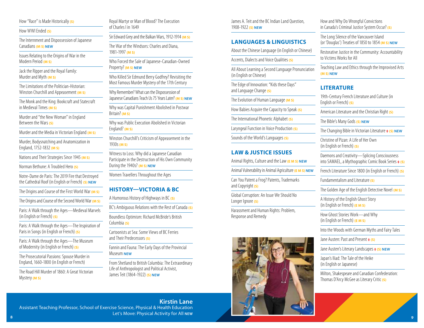How "Race" is Made Historically **(S)**

How WWI Ended **(S)**

The Internment and Dispossession of Japanese Canadians **(M S) NEW**

Issues Relating to the Origins of War in the Modern Period **(M S)**

Jack the Ripper and the Royal Family: Murder and Myth **(M S)**

The Limitations of the Politician-Historian: Winston Churchill and Appeasement **(M S)**

The Monk and the King: Bookcraft and Statecraft in Medieval Times **(M S)**

Murder and "the New Woman" in England Between the Wars **(S)**

Murder and the Media in Victorian England **(M S)**

Murder, Bodysnatching and Anatomization in England, 1752-1832 **(M S)**

Nations and Their Strategies Since 1945 **(M S)**

Norman Bethune: A Troubled Hero **(S)**

Notre-Dame de Paris: The 2019 Fire that Destroyed the Cathedral Roof (in English or French) **(S) NEW**

The Origins and Course of the First World War **(M S)**

The Origins and Course of the Second World War **(M S)**

Paris: A Walk through the Ages—Medieval Marvels (in English or French) **(S)**

Paris: A Walk through the Ages—The Inspiration of Paris in Songs (in English or French) **(S)**

Paris: A Walk through the Ages—The Museum of Modernity (in English or French) **(S)**

The Prosecutorial Passions: Spouse Murder in England, 1660-1800 (in English or French)

The Road Hill Murder of 1860: A Great Victorian Mystery **(M S)**

Royal Martyr or Man of Blood? The Execution of Charles I in 1649

Sir Edward Grey and the Balkan Wars, 1912-1914 **(M S)**

The War of the Windsors: Charles and Diana, 1981-1997 **(M S)**

Who Forced the Sale of Japanese-Canadian-Owned Property? **(M S) NEW**

Who Killed Sir Edmund Berry Godfrey? Revisiting the Most Famous Murder Mystery of the 17th Century

Why Remember? What can the Dispossession of Japanese Canadians Teach Us 75 Years Later? **(M S) NEW**

Why was Capital Punishment Abolished in Postwar Britain? **(M S)**

Why was Public Execution Abolished in Victorian England? **(M S)**

Winston Churchill's Criticism of Appeasement in the 1930s **(M S)**

Witness to Loss: Why did a Japanese Canadian Participate in the Destruction of His Own Community During the 1940s? **(M S) NEW**

Women Travellers Throughout the Ages

#### **HISTORY—VICTORIA & BC**

A Humorous History of Highways in BC **(S)**

BC's Ambiguous Relations with the Rest of Canada **(S)**

Boundless Optimism: Richard McBride's British Columbia **(S)**

Cartoonists at Sea: Some Views of BC Ferries and Their Predecessors **(S)**

Fannin and Fauna: The Early Days of the Provincial Museum **NEW**

From Shetland to British Columbia: The Extraordinary Life of Anthropologist and Political Activist, James Teit (1864-1922) **(S) NEW**

James A. Teit and the BC Indian Land Question, 1908-1922 **(S) NEW**

## **LANGUAGES & LINGUISTICS**

About the Chinese Language (in English or Chinese)

Accents, Dialects and Voice Qualities **(S)**

All About Learning a Second Language Pronunciation (in English or Chinese)

The Edge of Innovation: "Kids these Days" and Language Change **(S)**

The Evolution of Human Language **(M S)**

How Babies Acquire the Capacity to Speak **(S)**

The International Phonetic Alphabet **(S)**

Laryngeal Function in Voice Production **(S)**

Sounds of the World's Languages **(S)**

#### **LAW & JUSTICE ISSUES**

Animal Rights, Culture and the Law **(E M S) NEW**

Animal Vulnerability in Animal Agriculture **(E M S) NEW**

Can You Patent a Frog? Patents, Trademarks and Copyright **(S)**

Global Corruption: An Issue We Should No Longer Ignore **(S)**

Harassment and Human Rights: Problem, Response and Remedy



How and Why Do Wrongful Convictions in Canada's Criminal Justice System Occur? **(S)**

The Long Silence of the Vancouver Island (or 'Douglas') Treaties of 1850 to 1854 **(M S) NEW**

Restorative Justice in the Community: Accountability to Victims Works for All

Teaching Law and Ethics through the Improvised Arts **(M S) NEW**

# **LITERATURE**

19th-Century French Literature and Culture (in English or French) **(S)**

American Literature and the Christian Right **(S)**

The Bible's Many Gods **(S) NEW**

The Changing Bible in Victorian Literature **‡ (S) NEW**

Christine of Pizan: A Life of Her Own (in English or French) **(S)**

Daemons and Creativity—Splicing Consciousness into SAMAEL, a Mythographic Comic Book Series **‡ (S)**

French Literature Since 1800 (in English or French) **(S)**

Fundamentalism and Literature **(S)**

The Golden Age of the English Detective Novel **(M S)**

A History of the English Ghost Story (in English or French) **(E M S)**

How Ghost Stories Work—and Why (in English or French) **(E M S)**

Into the Woods with German Myths and Fairy Tales

Jane Austen: Past and Present **‡ (S)**

Jane Austen's Literary Landscapes **‡ (S) NEW**

Japan's Iliad: The Tale of the Heike (in English or Japanese)

Milton, Shakespeare and Canadian Confederation: Thomas D'Arcy McGee as Literary Critic **(S)**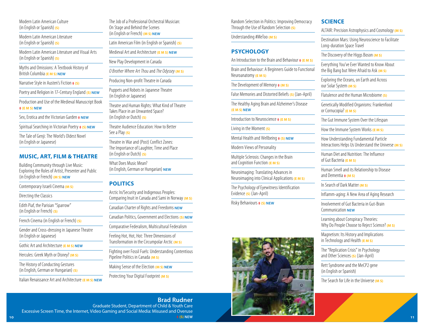Modern Latin American Culture (in English or Spanish) **(S)** 

Modern Latin American Literature (in English or Spanish) **(S)** 

Modern Latin American Literature and Visual Arts (in English or Spanish) **(S)** 

Myths and Omissions: A Textbook History of British Columbia **(E M S) NEW**

Narrative Style in Austen's Fiction **‡ (S)**

Poetry and Religion in 17-Century England (S) NEW

Production and Use of the Medieval Manuscript Book

## **‡ (E M S) NEW**

Sex, Erotica and the Victorian Garden **‡ NEW**

Spiritual Searching in Victorian Poetry **‡ (S) NEW**

The Tale of Genji: The World's Oldest Novel (in English or Japanese)

#### **MUSIC, ART, FILM & THEATRE**

Building Community through Live Music: Exploring the Roles of Artist, Presenter and Public (in English or French) **(M S) NEW**

Contemporary Israeli Cinema **(M S)**

Directing the Classics

Edith Piaf, the Parisian "Sparrow" (in English or French) **(S)**

French Cinema (in English or French) **(S)**

Gender and Cross-dressing in Japanese Theatre (in English or Japanese)

Gothic Art and Architecture **(E M S) NEW**

Hercules: Greek Myth or Disney? (M S)

The History of Conducting Gestures (in English, German or Hungarian) **(S)** 

Italian Renaissance Art and Architecture **(E M S) NEW**

The Job of a Professional Orchestral Musician: On Stage and Behind the Scenes (in English or French) **(M S) NEW**

Latin American Film (in English or Spanish) **(S)**

Medieval Art and Architecture **(E M S) NEW**

New Play Development in Canada

*O Brother Where Art Thou* and *The Odyssey* **(M S)**

Producing Non-profit Theatre in Canada

Puppets and Robots in Japanese Theatre (in English or Japanese)

Theatre and Human Rights: What Kind of Theatre Takes Place in an Unwanted Space? (in English or Dutch) **(S)**

Theatre Audience Education: How to Better See a Play **(S)** 

Theatre in War and (Post) Conflict Zones: The Importance of Laughter, Time and Place (in English or Dutch) **(S)**

What Does Music Mean? (in English, German or Hungarian) **NEW**

# **POLITICS**

| Arctic In/Security and Indigenous Peoples:<br>Comparing Inuit in Canada and Sami in Norway (M S) |  |
|--------------------------------------------------------------------------------------------------|--|
| Canadian Charter of Rights and Freedoms NEW                                                      |  |
| Canadian Politics, Government and Elections (S) NEW                                              |  |
| Comparative Federalism, Multicultural Federalism                                                 |  |
| Feeling Hot, Hot, Hot: Three Dimensions of<br>Transformation in the Circumpolar Arctic (M S)     |  |
| Fighting over Fossil Fuels: Understanding Contentious<br>Pipeline Politics in Canada (M S)       |  |
| Making Sense of the Election (M S) NEW                                                           |  |
| Protecting Your Digital Footprint (M S)                                                          |  |

Random Selection in Politics: Improving Democracy Through the Use of Random Selection **(S)**

Understanding #MeToo **(M S)**

## **PSYCHOLOGY**

An Introduction to the Brain and Behaviour **‡ (E M S)**

Brain and Behaviour: A Beginners Guide to Functional Neuroanatomy **(E M S)** 

The Development of Memory **‡ (M S)**

False Memories and Distorted Beliefs **(S)** (Jan-April)

The Healthy Aging Brain and Alzheimer's Disease **(E M S) NEW**

Introduction to Neuroscience **‡ (E M S)**

Living in the Moment **(S)**

Mental Health and Wellbeing **‡ (S) NEW**

Modern Views of Personality

Multiple Sclerosis: Changes in the Brain and Cognition Function **(E M S)**

Neuroimaging: Translating Advances in Neuroimaging into Clinical Applications **(E M S)**

The Psychology of Eyewitness Identification Evidence **(S)** (Jan-April)

Risky Behaviours **‡ (S) NEW**



ALTAIR: Precision Astrophysics and Cosmology **(M S)**

Destination Mars: Using Neuroscience to Facilitate Long-duration Space Travel

The Discovery of the Higgs Boson **(M S)**

Everything You've Ever Wanted to Know About the Big Bang but Were Afraid to Ask **(M S)**

Exploring the Oceans, on Earth and Across our Solar System **(M S)**

Flatulence and the Human Microbiome **(S)**

Genetically Modified Organisms: Frankenfood or Cornucopia? **(E M S)**

The Gut Immune System Over the Lifespan

How the Immune System Works **(E M S)**

How Understanding Fundamental Particle Interactions Helps Us Understand the Universe **(M S)**

Human Diet and Nutrition: The Influence of Gut Bacteria **(E M S)**

Human Smell and its Relationship to Disease and Dementia **‡ (M S)**

In Search of Dark Matter **(M S)**

Inflamm-aging: A New Area of Aging Research

Involvement of Gut Bacteria in Gut-Brain Communication **NEW**

Learning about Conspiracy Theories: Why Do People Choose to Reject Science? **(M S)**

Magnetism: Its History and Implications in Technology and Health **(E M S)**

The "Replication Crisis" in Psychology and Other Sciences **(S)** (Jan-April)

Rett Syndrome and the MeCP2 gene (in English or Spanish)

The Search for Life in the Universe **(M S)**

**10 11 Brad Rudner**  Graduate Student, Department of Child & Youth Care Excessive Screen Time, the Internet, Video Gaming and Social Media: Misused and Overuse **‡ (S) NEW**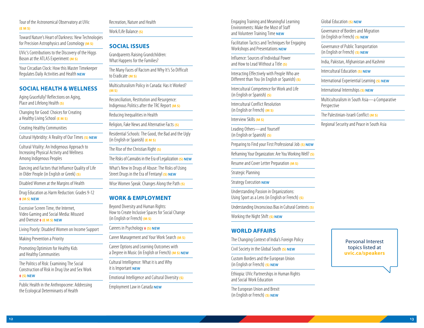Tour of the Astronomical Observatory at UVic **(E M S)**

Toward Nature's Heart of Darkness: New Technologies for Precision Astrophysics and Cosmology **(M S)**

UVic's Contributions to the Discovery of the Higgs Boson at the ATLAS Experiment **(M S)**

Your Circadian Clock: How this Master Timekeeper Regulates Daily Activities and Health **NEW**

# **SOCIAL HEALTH & WELLNESS**

Aging Gracefully? Reflections on Aging, Place and Lifelong Health **(S)**

Changing for Good: Choices for Creating a Healthy Living School **(E M S)**

Creating Healthy Communities

Cultural Hybridity: A Reality of Our Times **(S) NEW**

Cultural Vitality: An Indigenous Approach to Increasing Physical Activity and Wellness Among Indigenous Peoples

Dancing and Factors that Influence Quality of Life in Older People (in English or Greek) **(S)**

Disabled Women at the Margins of Health

Drug Education as Harm Reduction: Grades 9-12 **‡ (M S) NEW**

Excessive Screen Time, the Internet, Video Gaming and Social Media: Misused and Overuse **‡ (E M S) NEW**

Living Poorly: Disabled Women on Income Support

Making Prevention a Priority

Promoting Optimism for Healthy Kids and Healthy Communities

The Politics of Risk: Examining The Social Construction of Risk in Drug Use and Sex Work **‡ (S) NEW**

Public Health in the Anthropocene: Addressing the Ecological Determinants of Health

#### Recreation, Nature and Health

Work/Life Balance **(S)**

# **SOCIAL ISSUES**

Grandparents Raising Grandchildren: What Happens for the Families?

The Many Faces of Racism and Why It's So Difficult to Eradicate **(M S)**

Multiculturalism Policy in Canada: Has it Worked? **(M S)**

Reconciliation, Restitution and Resurgence: Indigenous Politics after the TRC Report **(M S)**

Reducing Inequalities in Health

Religion, Fake News and Alternative Facts **(S)**

Residential Schools: The Good, the Bad and the Ugly (in English or Spanish) **(E M S)**

The Rise of the Christian Right **(S)**

The Risks of Cannabis in the Era of Legalization **(S) NEW**

What's New in Drugs of Abuse: The Risks of Using Street Drugs in the Era of Fentanyl **(S) NEW**

Wise Women Speak: Changes Along the Path **(S)**

# **WORK & EMPLOYMENT**

Beyond Diversity and Human Rights: How to Create Inclusive Spaces for Social Change (in English or French) **(M S)**

Careers in Psychology **‡ (S) NEW**

Career Management and Your Work Search **(M S)**

Career Options and Learning Outcomes with a Degree in Music (in English or French) **(M S) NEW**

Cultural Intelligence: What it is and Why it is Important **NEW**

Emotional Intelligence and Cultural Diversity **(S)**

Employment Law in Canada **NEW**

Engaging Training and Meaningful Learning Environments: Make the Most of Staff and Volunteer Training Time **NEW**

Facilitation Tactics and Techniques for Engaging Workshops and Presentations **NEW**

Influence: Sources of Individual Power and How to Lead Without a Title **(S)**

Interacting Effectively with People Who are Different than You (in English or Spanish) **(S)**

Intercultural Competence for Work and Life (in English or Spanish) **(S)**

Intercultural Conflict Resolution (in English or French) **(M S)**

Interview Skills **(M S)**

Leading Others—and Yourself (in English or Spanish) **(S)**

Preparing to Find your First Professional Job **(S) NEW**

Reframing Your Organization: Are You Working Well? **(S)**

Resume and Cover Letter Preparation **(M S)**

Strategic Planning

Strategy Execution **NEW**

Understanding Passion in Organizations: Using Sport as a Lens (in English or French) **(S)**

Understanding Unconscious Bias in Cultural Contexts **(S)**

Working the Night Shift **(S) NEW**

# **WORLD AFFAIRS**

The Changing Context of India's Foreign Policy

Civil Society in the Global South **(S) NEW**

Custom Borders and the European Union (in English or French) **(S) NEW**

Ethiopia: UVic Partnerships in Human Rights and Social Work Education

The European Union and Brexit (in English or French) **(S) NEW**

#### Global Education **(S) NEW**

Governance of Borders and Migration (in English or French) **(S) NEW**

Governance of Public Transportation (in English or French) **(S) NEW**

India, Pakistan, Afghanistan and Kashmir

Intercultural Education **(S) NEW**

International Experiential Learning **(S) NEW**

International Internships **(S) NEW**

Multiculturalism in South Asia—a Comparative Perspective

The Palestinian-Israeli Conflict **(M S)**

Regional Security and Peace in South Asia

Personal Interest topics listed at **[uvic.ca/speakers](http://uvic.ca/speakers)**